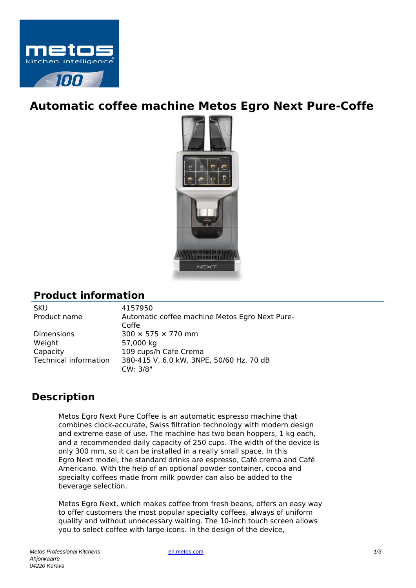

## **Automatic coffee machine Metos Egro Next Pure-Coffe**



## **Product information**

SKU 4157950

Product name Automatic coffee machine Metos Egro Next Pure-Coffe Dimensions  $300 \times 575 \times 770$  mm Weight 57,000 kg Capacity 109 cups/h Cafe Crema Technical information 380-415 V, 6,0 kW, 3NPE, 50/60 Hz, 70 dB CW: 3/8"

## **Description**

Metos Egro Next Pure Coffee is an automatic espresso machine that combines clock-accurate, Swiss filtration technology with modern design and extreme ease of use. The machine has two bean hoppers, 1 kg each, and a recommended daily capacity of 250 cups. The width of the device is only 300 mm, so it can be installed in a really small space. In this Egro Next model, the standard drinks are espresso, Café crema and Café Americano. With the help of an optional powder container, cocoa and specialty coffees made from milk powder can also be added to the beverage selection.

Metos Egro Next, which makes coffee from fresh beans, offers an easy way to offer customers the most popular specialty coffees, always of uniform quality and without unnecessary waiting. The 10-inch touch screen allows you to select coffee with large icons. In the design of the device,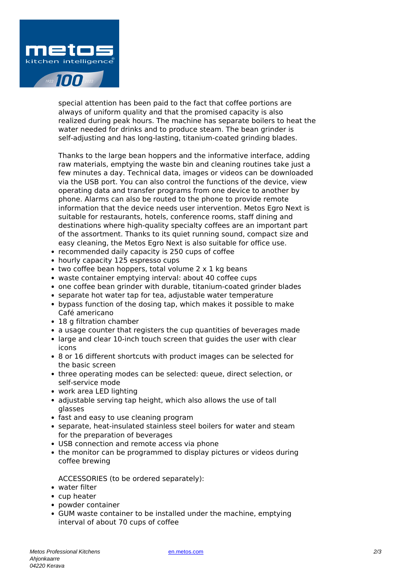

special attention has been paid to the fact that coffee portions are always of uniform quality and that the promised capacity is also realized during peak hours. The machine has separate boilers to heat the water needed for drinks and to produce steam. The bean grinder is self-adjusting and has long-lasting, titanium-coated grinding blades.

Thanks to the large bean hoppers and the informative interface, adding raw materials, emptying the waste bin and cleaning routines take just a few minutes a day. Technical data, images or videos can be downloaded via the USB port. You can also control the functions of the device, view operating data and transfer programs from one device to another by phone. Alarms can also be routed to the phone to provide remote information that the device needs user intervention. Metos Egro Next is suitable for restaurants, hotels, conference rooms, staff dining and destinations where high-quality specialty coffees are an important part of the assortment. Thanks to its quiet running sound, compact size and easy cleaning, the Metos Egro Next is also suitable for office use.

- recommended daily capacity is 250 cups of coffee
- hourly capacity 125 espresso cups
- $\bullet$  two coffee bean hoppers, total volume 2 x 1 kg beans
- waste container emptying interval: about 40 coffee cups
- one coffee bean grinder with durable, titanium-coated grinder blades
- separate hot water tap for tea, adjustable water temperature
- bypass function of the dosing tap, which makes it possible to make Café americano
- 18 g filtration chamber
- a usage counter that registers the cup quantities of beverages made
- large and clear 10-inch touch screen that guides the user with clear icons
- 8 or 16 different shortcuts with product images can be selected for the basic screen
- three operating modes can be selected: queue, direct selection, or self-service mode
- work area LED lighting
- adjustable serving tap height, which also allows the use of tall glasses
- fast and easy to use cleaning program
- separate, heat-insulated stainless steel boilers for water and steam for the preparation of beverages
- USB connection and remote access via phone
- the monitor can be programmed to display pictures or videos during coffee brewing

ACCESSORIES (to be ordered separately):

- water filter
- cup heater
- powder container
- GUM waste container to be installed under the machine, emptying interval of about 70 cups of coffee